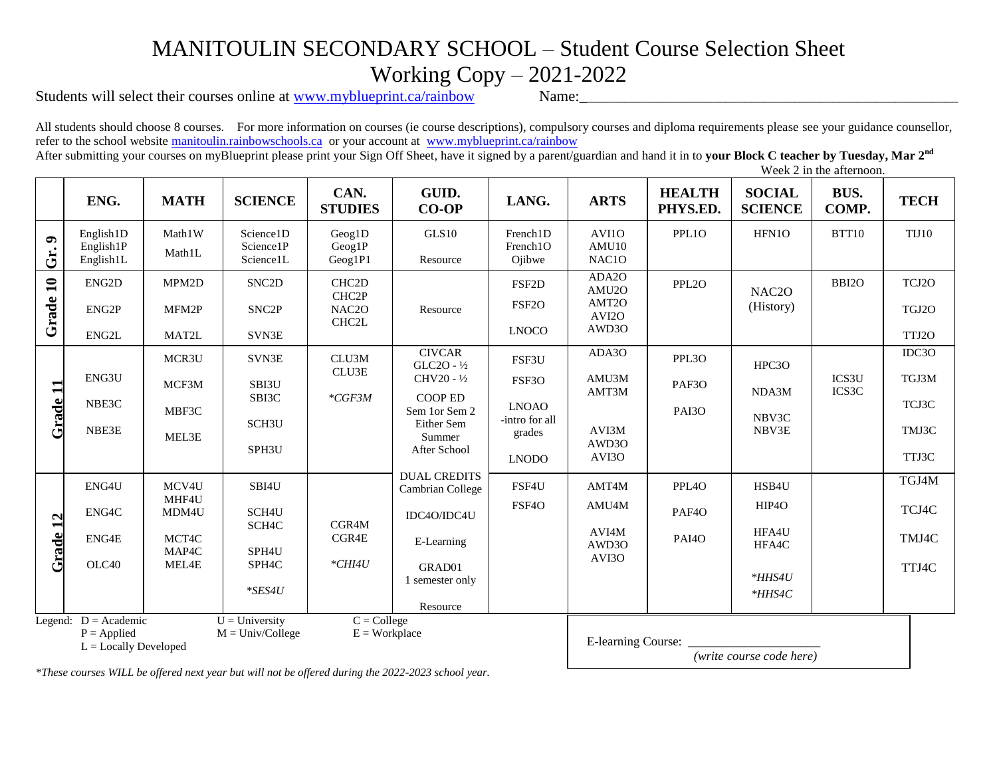## MANITOULIN SECONDARY SCHOOL – Student Course Selection Sheet Working Copy – 2021-2022

Students will select their courses online at [www.myblueprint.ca/rainbow](http://www.myblueprint.ca/rainbow) Name:

**Gr. 9**

**Grade 10**

All students should choose 8 courses. For more information on courses (ie course descriptions), compulsory courses and diploma requirements please see your guidance counsellor, refer to the school website [manitoulin.rainbowschools.ca](http://manitoulin.rainbowschools.ca/) or your account at [www.myblueprint.ca/rainbow](http://www.myblueprint.ca/rainbow)

After submitting your courses on myBlueprint please print your Sign Off Sheet, have it signed by a parent/guardian and hand it in to **your Block C teacher by Tuesday, Mar 2nd** Week 2 in the afternoon.

**ENG. MATH SCIENCE CAN. STUDIES GUID.**  GUID. LANG. ARTS **HEALTH**<br>CO-OP LANG. ARTS **HEALTH PHYS.ED. SOCIAL SCIENCE BUS. COMP. TECH** English1D English1P English1L Math1W Math1L Science1D Science1P Science1L Geog1D Geog1P Geog1P1 GLS10 Resource French1D French1O Ojibwe AVI1O AMU10 NAC1O PPL1O | HFN1O | BTT10 | TIJ10 ENG2D ENG2P ENG2L MPM2D MFM2P MAT2L SNC2D SNC2P SVN3E CHC2D CHC2P NAC2O CHC2L Resource FSF2D FSF2O LNOCO ADA2O AMU2O AMT2O AVI2O AWD3O PPL2O NAC2O (History) BBI2O TCJ2O TGJ2O TTJ2O **Grade 11** NB ENG3U NBE3C NBE3E MCR3U MCF3M MBF3C MEL3E SVN3E SBI3U SBI3C SCH3U SPH3U CLU3M CLU3E *\*CGF3M* **CIVCAR** GLC2O - ½ CHV20 - ½ COOP ED Sem 1or Sem 2 Either Sem Summer After School DUAL CREDITS Cambrian College IDC4O/IDC4U E-Learning GRAD01 1 semester only Resource FSF3U FSF3O LNOAO -intro for all grades LNODO ADA3O AMU3M AMT3M AVI3M AWD3O AVI3O PPL3O PAF3O PAI3O HPC3O NDA3M NBV3C NBV3E ICS3U ICS3C IDC3O TGJ3M TCJ3C TMJ3C TTJ3C **Grade 12 Grade 12** OLC40 ENG4U ENG4C ENG4E MCV4U MHF4U MDM4U MCT4C MAP4C MEL4E SBI4U SCH4U SCH4C SPH4U SPH4C *\*SES4U* CGR4M CGR4E *\*CHI4U* FSF4U FSF4O AMT4M AMU4M AVI4M AWD3O AVI3O PPL4O PAF4O PAI4O HSB4U HIP4O HFA4U HFA4C *\*HHS4U \*HHS4C* TGJ4M TCJ4C TMJ4C TTJ4C Legend:  $D = Academic$   $U = University$   $C = College$  $P =$ Applied  $M =$ Univ/College  $E =$ Workplace  $L =$  Locally Developed E-learning Course: \_\_\_\_\_\_\_\_\_\_\_\_\_\_\_\_\_\_\_\_\_ *(write course code here)*

*\*These courses WILL be offered next year but will not be offered during the 2022-2023 school year.*